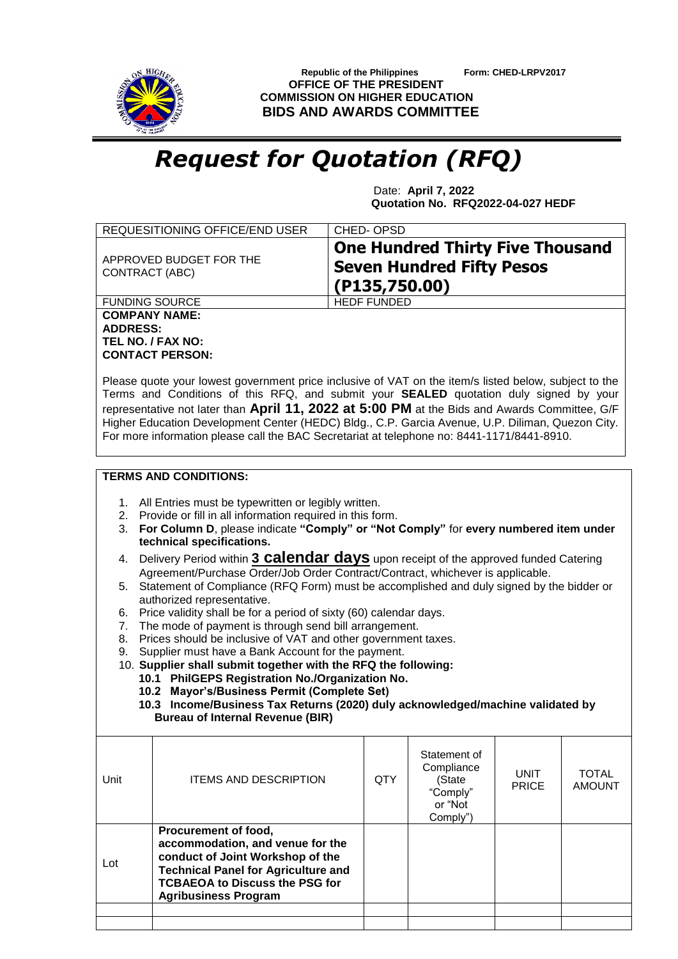

 **Republic of the Philippines Form: CHED-LRPV2017 OFFICE OF THE PRESIDENT COMMISSION ON HIGHER EDUCATION BIDS AND AWARDS COMMITTEE**

## *Request for Quotation (RFQ)*

 Date: **April 7, 2022 Quotation No. RFQ2022-04-027 HEDF**

| REQUESITIONING OFFICE/END USER                               | CHED-OPSD                                                                                    |
|--------------------------------------------------------------|----------------------------------------------------------------------------------------------|
| APPROVED BUDGET FOR THE<br>CONTRACT (ABC)                    | <b>One Hundred Thirty Five Thousand</b><br><b>Seven Hundred Fifty Pesos</b><br>(P135,750.00) |
| <b>FUNDING SOURCE</b>                                        | <b>HEDF FUNDED</b>                                                                           |
| <b>COMPANY NAME:</b><br><b>ADDRESS:</b><br>TEL NO. / FAX NO: |                                                                                              |

Please quote your lowest government price inclusive of VAT on the item/s listed below, subject to the Terms and Conditions of this RFQ, and submit your **SEALED** quotation duly signed by your representative not later than **April 11, 2022 at 5:00 PM** at the Bids and Awards Committee, G/F Higher Education Development Center (HEDC) Bldg., C.P. Garcia Avenue, U.P. Diliman, Quezon City. For more information please call the BAC Secretariat at telephone no: 8441-1171/8441-8910.

## **TERMS AND CONDITIONS:**

**CONTACT PERSON:**

- 1. All Entries must be typewritten or legibly written.
- 2. Provide or fill in all information required in this form.
- 3. **For Column D**, please indicate **"Comply" or "Not Comply"** for **every numbered item under technical specifications.**
- 4. Delivery Period within **3 calendar days** upon receipt of the approved funded Catering Agreement/Purchase Order/Job Order Contract/Contract, whichever is applicable.
- 5. Statement of Compliance (RFQ Form) must be accomplished and duly signed by the bidder or authorized representative.
- 6. Price validity shall be for a period of sixty (60) calendar days.
- 7. The mode of payment is through send bill arrangement.
- 8. Prices should be inclusive of VAT and other government taxes.
- 9. Supplier must have a Bank Account for the payment.
- 10. **Supplier shall submit together with the RFQ the following:**
	- **10.1 PhilGEPS Registration No./Organization No.**
	- **10.2 Mayor's/Business Permit (Complete Set)**
	- **10.3 Income/Business Tax Returns (2020) duly acknowledged/machine validated by Bureau of Internal Revenue (BIR)**

| Procurement of food,<br>accommodation, and venue for the<br>conduct of Joint Workshop of the<br>Lot<br><b>Technical Panel for Agriculture and</b> | Unit | <b>ITEMS AND DESCRIPTION</b>          | QTY | Statement of<br>Compliance<br>(State<br>"Comply"<br>or "Not<br>Comply") | <b>UNIT</b><br><b>PRICE</b> | <b>TOTAL</b><br><b>AMOUNT</b> |
|---------------------------------------------------------------------------------------------------------------------------------------------------|------|---------------------------------------|-----|-------------------------------------------------------------------------|-----------------------------|-------------------------------|
| <b>Agribusiness Program</b>                                                                                                                       |      | <b>TCBAEOA to Discuss the PSG for</b> |     |                                                                         |                             |                               |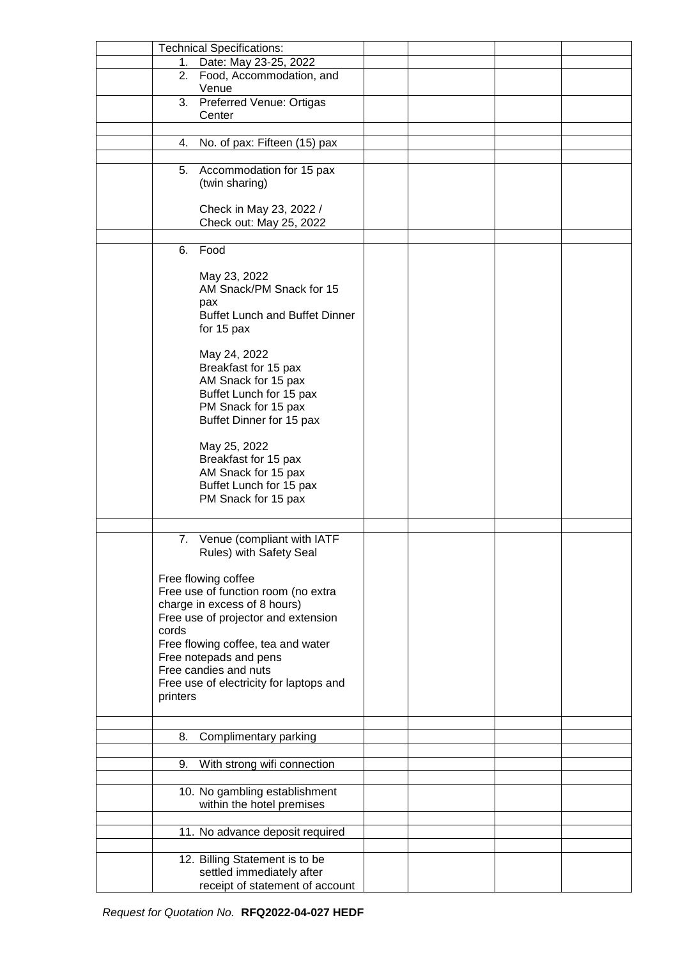|          | <b>Technical Specifications:</b>        |  |  |
|----------|-----------------------------------------|--|--|
| 1.       | Date: May 23-25, 2022                   |  |  |
| 2.       | Food, Accommodation, and                |  |  |
|          | Venue                                   |  |  |
| 3.       | Preferred Venue: Ortigas                |  |  |
|          |                                         |  |  |
|          | Center                                  |  |  |
|          |                                         |  |  |
| 4.       | No. of pax: Fifteen (15) pax            |  |  |
|          |                                         |  |  |
|          | 5. Accommodation for 15 pax             |  |  |
|          | (twin sharing)                          |  |  |
|          |                                         |  |  |
|          | Check in May 23, 2022 /                 |  |  |
|          | Check out: May 25, 2022                 |  |  |
|          |                                         |  |  |
|          |                                         |  |  |
| 6.       | Food                                    |  |  |
|          |                                         |  |  |
|          | May 23, 2022                            |  |  |
|          | AM Snack/PM Snack for 15                |  |  |
|          | pax                                     |  |  |
|          | <b>Buffet Lunch and Buffet Dinner</b>   |  |  |
|          | for 15 pax                              |  |  |
|          |                                         |  |  |
|          | May 24, 2022                            |  |  |
|          | Breakfast for 15 pax                    |  |  |
|          | AM Snack for 15 pax                     |  |  |
|          | Buffet Lunch for 15 pax                 |  |  |
|          |                                         |  |  |
|          | PM Snack for 15 pax                     |  |  |
|          | Buffet Dinner for 15 pax                |  |  |
|          |                                         |  |  |
|          | May 25, 2022                            |  |  |
|          | Breakfast for 15 pax                    |  |  |
|          | AM Snack for 15 pax                     |  |  |
|          | Buffet Lunch for 15 pax                 |  |  |
|          | PM Snack for 15 pax                     |  |  |
|          |                                         |  |  |
|          |                                         |  |  |
| 7.       | Venue (compliant with IATF              |  |  |
|          | Rules) with Safety Seal                 |  |  |
|          |                                         |  |  |
|          |                                         |  |  |
|          | Free flowing coffee                     |  |  |
|          | Free use of function room (no extra     |  |  |
|          | charge in excess of 8 hours)            |  |  |
|          | Free use of projector and extension     |  |  |
| cords    |                                         |  |  |
|          | Free flowing coffee, tea and water      |  |  |
|          | Free notepads and pens                  |  |  |
|          | Free candies and nuts                   |  |  |
|          | Free use of electricity for laptops and |  |  |
| printers |                                         |  |  |
|          |                                         |  |  |
|          |                                         |  |  |
|          |                                         |  |  |
| 8.       | Complimentary parking                   |  |  |
|          |                                         |  |  |
| 9.       | With strong wifi connection             |  |  |
|          |                                         |  |  |
|          | 10. No gambling establishment           |  |  |
|          | within the hotel premises               |  |  |
|          |                                         |  |  |
|          | 11. No advance deposit required         |  |  |
|          |                                         |  |  |
|          |                                         |  |  |
|          | 12. Billing Statement is to be          |  |  |
|          | settled immediately after               |  |  |
|          | receipt of statement of account         |  |  |